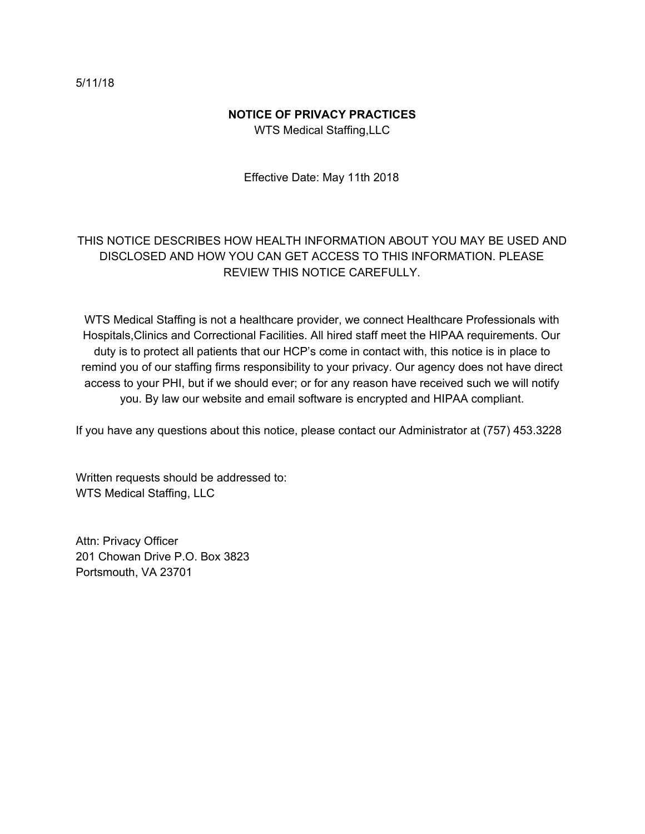### **NOTICE OF PRIVACY PRACTICES**

WTS Medical Staffing,LLC

Effective Date: May 11th 2018

# THIS NOTICE DESCRIBES HOW HEALTH INFORMATION ABOUT YOU MAY BE USED AND DISCLOSED AND HOW YOU CAN GET ACCESS TO THIS INFORMATION. PLEASE REVIEW THIS NOTICE CAREFULLY.

WTS Medical Staffing is not a healthcare provider, we connect Healthcare Professionals with Hospitals,Clinics and Correctional Facilities. All hired staff meet the HIPAA requirements. Our duty is to protect all patients that our HCP's come in contact with, this notice is in place to remind you of our staffing firms responsibility to your privacy. Our agency does not have direct access to your PHI, but if we should ever; or for any reason have received such we will notify you. By law our website and email software is encrypted and HIPAA compliant.

If you have any questions about this notice, please contact our Administrator at (757) 453.3228

Written requests should be addressed to: WTS Medical Staffing, LLC

Attn: Privacy Officer 201 Chowan Drive P.O. Box 3823 Portsmouth, VA 23701

5/11/18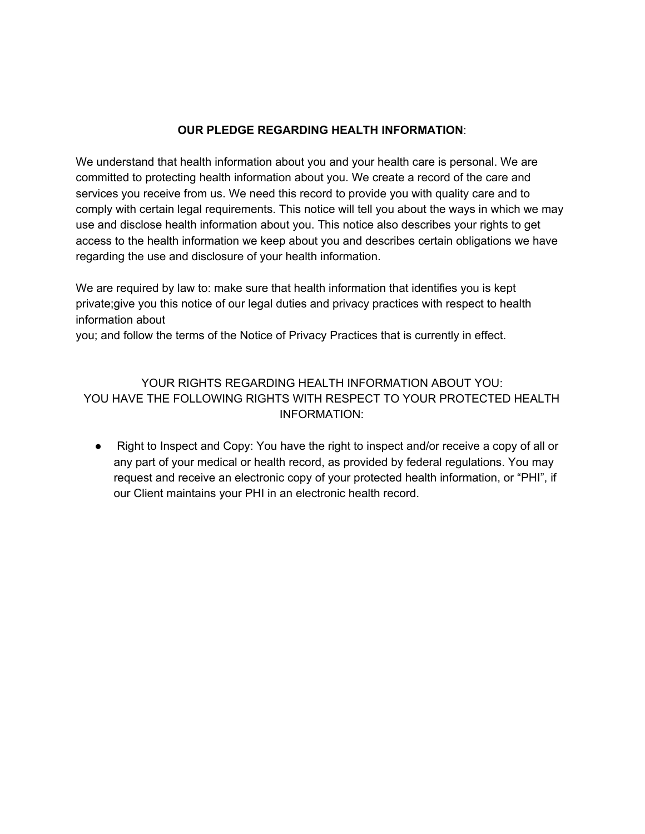#### **OUR PLEDGE REGARDING HEALTH INFORMATION**:

We understand that health information about you and your health care is personal. We are committed to protecting health information about you. We create a record of the care and services you receive from us. We need this record to provide you with quality care and to comply with certain legal requirements. This notice will tell you about the ways in which we may use and disclose health information about you. This notice also describes your rights to get access to the health information we keep about you and describes certain obligations we have regarding the use and disclosure of your health information.

We are required by law to: make sure that health information that identifies you is kept private;give you this notice of our legal duties and privacy practices with respect to health information about

you; and follow the terms of the Notice of Privacy Practices that is currently in effect.

## YOUR RIGHTS REGARDING HEALTH INFORMATION ABOUT YOU: YOU HAVE THE FOLLOWING RIGHTS WITH RESPECT TO YOUR PROTECTED HEALTH INFORMATION:

● Right to Inspect and Copy: You have the right to inspect and/or receive a copy of all or any part of your medical or health record, as provided by federal regulations. You may request and receive an electronic copy of your protected health information, or "PHI", if our Client maintains your PHI in an electronic health record.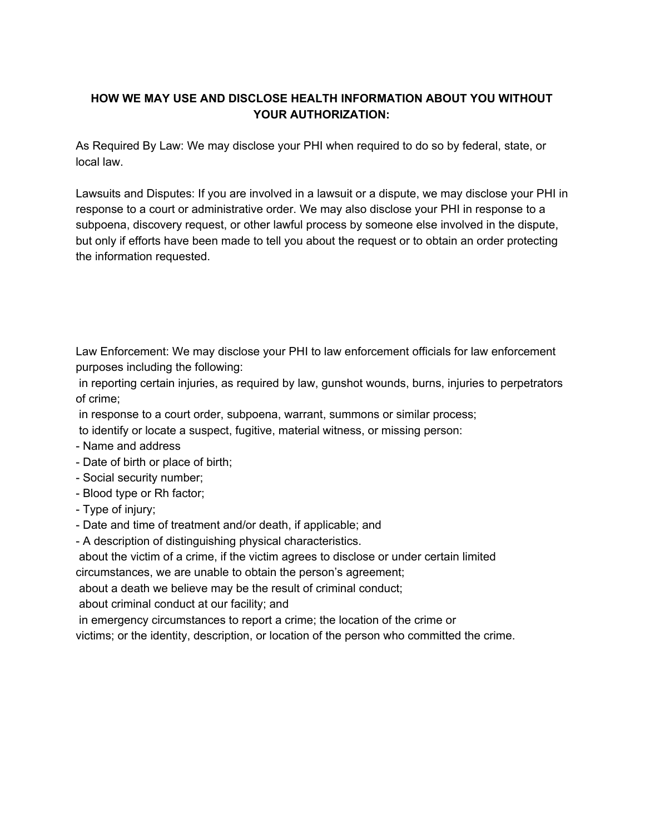## **HOW WE MAY USE AND DISCLOSE HEALTH INFORMATION ABOUT YOU WITHOUT YOUR AUTHORIZATION:**

As Required By Law: We may disclose your PHI when required to do so by federal, state, or local law.

Lawsuits and Disputes: If you are involved in a lawsuit or a dispute, we may disclose your PHI in response to a court or administrative order. We may also disclose your PHI in response to a subpoena, discovery request, or other lawful process by someone else involved in the dispute, but only if efforts have been made to tell you about the request or to obtain an order protecting the information requested.

Law Enforcement: We may disclose your PHI to law enforcement officials for law enforcement purposes including the following:

in reporting certain injuries, as required by law, gunshot wounds, burns, injuries to perpetrators of crime;

in response to a court order, subpoena, warrant, summons or similar process;

to identify or locate a suspect, fugitive, material witness, or missing person:

- Name and address
- Date of birth or place of birth;
- Social security number;
- Blood type or Rh factor;
- Type of injury;
- Date and time of treatment and/or death, if applicable; and
- A description of distinguishing physical characteristics.

about the victim of a crime, if the victim agrees to disclose or under certain limited

circumstances, we are unable to obtain the person's agreement;

about a death we believe may be the result of criminal conduct;

about criminal conduct at our facility; and

in emergency circumstances to report a crime; the location of the crime or

victims; or the identity, description, or location of the person who committed the crime.